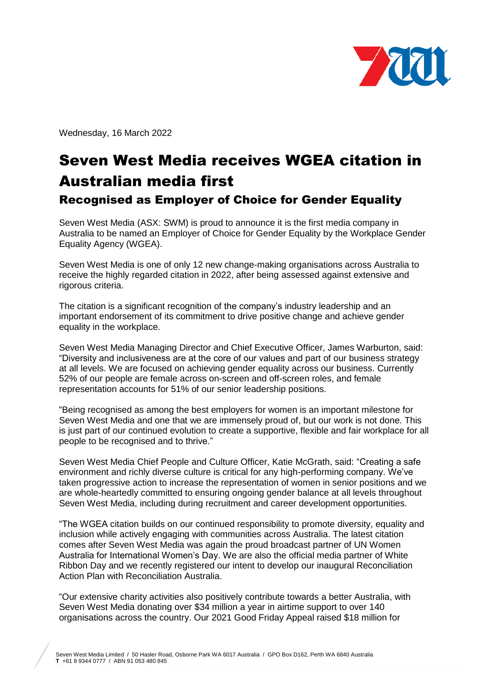

Wednesday, 16 March 2022

## Seven West Media receives WGEA citation in Australian media first Recognised as Employer of Choice for Gender Equality

Seven West Media (ASX: SWM) is proud to announce it is the first media company in Australia to be named an Employer of Choice for Gender Equality by the Workplace Gender Equality Agency (WGEA).

Seven West Media is one of only 12 new change-making organisations across Australia to receive the highly regarded citation in 2022, after being assessed against extensive and rigorous criteria.

The citation is a significant recognition of the company's industry leadership and an important endorsement of its commitment to drive positive change and achieve gender equality in the workplace.

Seven West Media Managing Director and Chief Executive Officer, James Warburton, said: "Diversity and inclusiveness are at the core of our values and part of our business strategy at all levels. We are focused on achieving gender equality across our business. Currently 52% of our people are female across on-screen and off-screen roles, and female representation accounts for 51% of our senior leadership positions.

"Being recognised as among the best employers for women is an important milestone for Seven West Media and one that we are immensely proud of, but our work is not done. This is just part of our continued evolution to create a supportive, flexible and fair workplace for all people to be recognised and to thrive."

Seven West Media Chief People and Culture Officer, Katie McGrath, said: "Creating a safe environment and richly diverse culture is critical for any high-performing company. We've taken progressive action to increase the representation of women in senior positions and we are whole-heartedly committed to ensuring ongoing gender balance at all levels throughout Seven West Media, including during recruitment and career development opportunities.

"The WGEA citation builds on our continued responsibility to promote diversity, equality and inclusion while actively engaging with communities across Australia. The latest citation comes after Seven West Media was again the proud broadcast partner of UN Women Australia for International Women's Day. We are also the official media partner of White Ribbon Day and we recently registered our intent to develop our inaugural Reconciliation Action Plan with Reconciliation Australia.

"Our extensive charity activities also positively contribute towards a better Australia, with Seven West Media donating over \$34 million a year in airtime support to over 140 organisations across the country. Our 2021 Good Friday Appeal raised \$18 million for